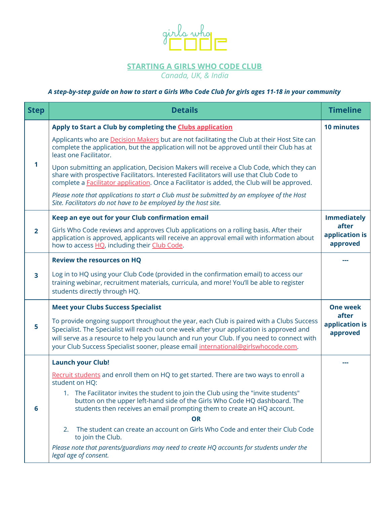

# **STARTING A GIRLS WHO CODE CLUB**

*Canada, UK, & India*

# A step-by-step guide on how to start a Girls Who Code Club for girls ages 11-18 in your community

| <b>Step</b>    | <b>Details</b>                                                                                                                                                                                                                                                                                                                                                           | <b>Timeline</b>                     |
|----------------|--------------------------------------------------------------------------------------------------------------------------------------------------------------------------------------------------------------------------------------------------------------------------------------------------------------------------------------------------------------------------|-------------------------------------|
|                | Apply to Start a Club by completing the Clubs application                                                                                                                                                                                                                                                                                                                | <b>10 minutes</b>                   |
| 1              | Applicants who are Decision Makers but are not facilitating the Club at their Host Site can<br>complete the application, but the application will not be approved until their Club has at<br>least one Facilitator.                                                                                                                                                      |                                     |
|                | Upon submitting an application, Decision Makers will receive a Club Code, which they can<br>share with prospective Facilitators. Interested Facilitators will use that Club Code to<br>complete a <b>Facilitator application</b> . Once a Facilitator is added, the Club will be approved.                                                                               |                                     |
|                | Please note that applications to start a Club must be submitted by an employee of the Host<br>Site. Facilitators do not have to be employed by the host site.                                                                                                                                                                                                            |                                     |
|                | Keep an eye out for your Club confirmation email                                                                                                                                                                                                                                                                                                                         | <b>Immediately</b>                  |
| $\overline{2}$ | Girls Who Code reviews and approves Club applications on a rolling basis. After their<br>application is approved, applicants will receive an approval email with information about<br>how to access HQ, including their Club Code.                                                                                                                                       | after<br>application is<br>approved |
| 3              | <b>Review the resources on HQ</b>                                                                                                                                                                                                                                                                                                                                        |                                     |
|                | Log in to HQ using your Club Code (provided in the confirmation email) to access our<br>training webinar, recruitment materials, curricula, and more! You'll be able to register<br>students directly through HQ.                                                                                                                                                        |                                     |
| 5              | <b>Meet your Clubs Success Specialist</b>                                                                                                                                                                                                                                                                                                                                | <b>One week</b>                     |
|                | To provide ongoing support throughout the year, each Club is paired with a Clubs Success<br>Specialist. The Specialist will reach out one week after your application is approved and<br>will serve as a resource to help you launch and run your Club. If you need to connect with<br>your Club Success Specialist sooner, please email international@girlswhocode.com. | after<br>application is<br>approved |
|                | <b>Launch your Club!</b>                                                                                                                                                                                                                                                                                                                                                 |                                     |
| 6              | Recruit students and enroll them on HQ to get started. There are two ways to enroll a<br>student on HQ:                                                                                                                                                                                                                                                                  |                                     |
|                | 1. The Facilitator invites the student to join the Club using the "invite students"<br>button on the upper left-hand side of the Girls Who Code HQ dashboard. The<br>students then receives an email prompting them to create an HQ account.                                                                                                                             |                                     |
|                | <b>OR</b>                                                                                                                                                                                                                                                                                                                                                                |                                     |
|                | The student can create an account on Girls Who Code and enter their Club Code<br>2.<br>to join the Club.                                                                                                                                                                                                                                                                 |                                     |
|                | Please note that parents/guardians may need to create HQ accounts for students under the<br>legal age of consent.                                                                                                                                                                                                                                                        |                                     |